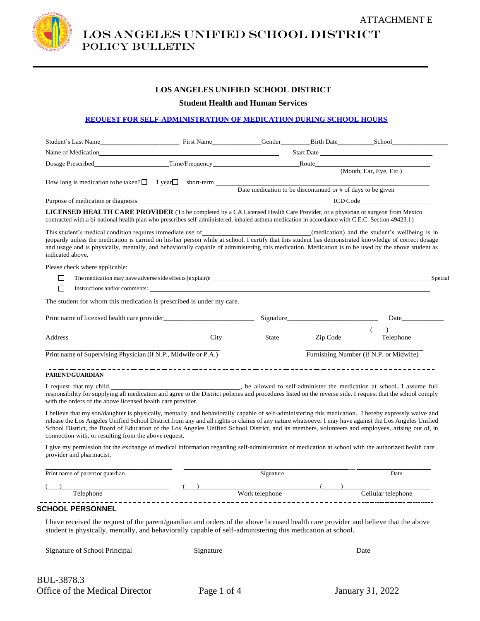

LOS ANGELES UNIFIED SCHOOL DISTRICT Policy bulletin

### **LOS ANGELES UNIFIED SCHOOL DISTRICT**

**Student Health and Human Services**

#### **REQUEST FOR SELF-ADMINISTRATION OF MEDICATION DURING SCHOOL HOURS**

|                                                                                                                                                                                                                                                                                                                                                                                                                                                                                                                                                                                                                                                                                                                                                                                                                                                                                                                                             |                                                                                                                                                                                                                                |                                                                                                                                                                                                                                                                                                                    |                                                             | Student's Last Name School First Name Gender Birth Date School |
|---------------------------------------------------------------------------------------------------------------------------------------------------------------------------------------------------------------------------------------------------------------------------------------------------------------------------------------------------------------------------------------------------------------------------------------------------------------------------------------------------------------------------------------------------------------------------------------------------------------------------------------------------------------------------------------------------------------------------------------------------------------------------------------------------------------------------------------------------------------------------------------------------------------------------------------------|--------------------------------------------------------------------------------------------------------------------------------------------------------------------------------------------------------------------------------|--------------------------------------------------------------------------------------------------------------------------------------------------------------------------------------------------------------------------------------------------------------------------------------------------------------------|-------------------------------------------------------------|----------------------------------------------------------------|
| Name of Medication                                                                                                                                                                                                                                                                                                                                                                                                                                                                                                                                                                                                                                                                                                                                                                                                                                                                                                                          |                                                                                                                                                                                                                                |                                                                                                                                                                                                                                                                                                                    |                                                             | Start Date                                                     |
|                                                                                                                                                                                                                                                                                                                                                                                                                                                                                                                                                                                                                                                                                                                                                                                                                                                                                                                                             |                                                                                                                                                                                                                                |                                                                                                                                                                                                                                                                                                                    |                                                             |                                                                |
|                                                                                                                                                                                                                                                                                                                                                                                                                                                                                                                                                                                                                                                                                                                                                                                                                                                                                                                                             |                                                                                                                                                                                                                                |                                                                                                                                                                                                                                                                                                                    |                                                             | (Mouth, Ear, Eye, Etc.)                                        |
|                                                                                                                                                                                                                                                                                                                                                                                                                                                                                                                                                                                                                                                                                                                                                                                                                                                                                                                                             | How long is medication to be taken? $\Box$ 1 year $\Box$ short-term                                                                                                                                                            |                                                                                                                                                                                                                                                                                                                    | Date medication to be discontinued or # of days to be given |                                                                |
|                                                                                                                                                                                                                                                                                                                                                                                                                                                                                                                                                                                                                                                                                                                                                                                                                                                                                                                                             |                                                                                                                                                                                                                                |                                                                                                                                                                                                                                                                                                                    |                                                             | ICD Code                                                       |
| <b>LICENSED HEALTH CARE PROVIDER</b> (To be completed by a CA Licensed Health Care Provider, or a physician or surgeon from Mexico<br>contracted with a bi-national health plan who prescribes self-administered, inhaled asthma medication in accordance with C.E.C. Section 49423.1)                                                                                                                                                                                                                                                                                                                                                                                                                                                                                                                                                                                                                                                      |                                                                                                                                                                                                                                |                                                                                                                                                                                                                                                                                                                    |                                                             |                                                                |
| This student's medical condition requires immediate use of (medication) and the student's wellbeing is in<br>jeopardy unless the medication is carried on his/her person while at school. I certify that this student has demonstrated knowledge of correct dosage<br>and usage and is physically, mentally, and behaviorally capable of administering this medication. Medication is to be used by the above student as<br>indicated above.                                                                                                                                                                                                                                                                                                                                                                                                                                                                                                |                                                                                                                                                                                                                                |                                                                                                                                                                                                                                                                                                                    |                                                             |                                                                |
| Please check where applicable:                                                                                                                                                                                                                                                                                                                                                                                                                                                                                                                                                                                                                                                                                                                                                                                                                                                                                                              |                                                                                                                                                                                                                                |                                                                                                                                                                                                                                                                                                                    |                                                             |                                                                |
| □                                                                                                                                                                                                                                                                                                                                                                                                                                                                                                                                                                                                                                                                                                                                                                                                                                                                                                                                           | The medication may have adverse side effects (explain): Special Seconds and Seconds and Seconds and Seconds and Seconds and Seconds and Seconds and Seconds and Seconds and Seconds and Seconds and Seconds and Seconds and Se |                                                                                                                                                                                                                                                                                                                    |                                                             |                                                                |
| □                                                                                                                                                                                                                                                                                                                                                                                                                                                                                                                                                                                                                                                                                                                                                                                                                                                                                                                                           | Instructions and/or comments:                                                                                                                                                                                                  |                                                                                                                                                                                                                                                                                                                    |                                                             |                                                                |
|                                                                                                                                                                                                                                                                                                                                                                                                                                                                                                                                                                                                                                                                                                                                                                                                                                                                                                                                             | The student for whom this medication is prescribed is under my care.                                                                                                                                                           |                                                                                                                                                                                                                                                                                                                    |                                                             |                                                                |
|                                                                                                                                                                                                                                                                                                                                                                                                                                                                                                                                                                                                                                                                                                                                                                                                                                                                                                                                             |                                                                                                                                                                                                                                |                                                                                                                                                                                                                                                                                                                    | Signature                                                   | Date                                                           |
|                                                                                                                                                                                                                                                                                                                                                                                                                                                                                                                                                                                                                                                                                                                                                                                                                                                                                                                                             |                                                                                                                                                                                                                                |                                                                                                                                                                                                                                                                                                                    |                                                             | $($ $)$                                                        |
|                                                                                                                                                                                                                                                                                                                                                                                                                                                                                                                                                                                                                                                                                                                                                                                                                                                                                                                                             |                                                                                                                                                                                                                                |                                                                                                                                                                                                                                                                                                                    |                                                             |                                                                |
|                                                                                                                                                                                                                                                                                                                                                                                                                                                                                                                                                                                                                                                                                                                                                                                                                                                                                                                                             | <b>City</b>                                                                                                                                                                                                                    | State                                                                                                                                                                                                                                                                                                              | Zip Code                                                    | Telephone                                                      |
|                                                                                                                                                                                                                                                                                                                                                                                                                                                                                                                                                                                                                                                                                                                                                                                                                                                                                                                                             |                                                                                                                                                                                                                                |                                                                                                                                                                                                                                                                                                                    |                                                             | Furnishing Number (if N.P. or Midwife)                         |
|                                                                                                                                                                                                                                                                                                                                                                                                                                                                                                                                                                                                                                                                                                                                                                                                                                                                                                                                             |                                                                                                                                                                                                                                |                                                                                                                                                                                                                                                                                                                    |                                                             |                                                                |
|                                                                                                                                                                                                                                                                                                                                                                                                                                                                                                                                                                                                                                                                                                                                                                                                                                                                                                                                             |                                                                                                                                                                                                                                |                                                                                                                                                                                                                                                                                                                    |                                                             |                                                                |
| Address<br>Print name of Supervising Physician (if N.P., Midwife or P.A.)<br><b>PARENT/GUARDIAN</b><br>I request that my child, contact the medication at school. I assume full<br>responsibility for supplying all medication and agree to the District policies and procedures listed on the reverse side. I request that the school comply<br>with the orders of the above licensed health care provider.<br>I believe that my son/daughter is physically, mentally, and behaviorally capable of self-administering this medication. I hereby expressly waive and<br>release the Los Angeles Unified School District from any and all rights or claims of any nature whatsoever I may have against the Los Angeles Unified<br>School District, the Board of Education of the Los Angeles Unified School District, and its members, volunteers and employees, arising out of, in<br>connection with, or resulting from the above request. |                                                                                                                                                                                                                                |                                                                                                                                                                                                                                                                                                                    |                                                             |                                                                |
| I give my permission for the exchange of medical information regarding self-administration of medication at school with the authorized health care<br>provider and pharmacist.                                                                                                                                                                                                                                                                                                                                                                                                                                                                                                                                                                                                                                                                                                                                                              |                                                                                                                                                                                                                                |                                                                                                                                                                                                                                                                                                                    |                                                             |                                                                |
| Print name of parent or guardian                                                                                                                                                                                                                                                                                                                                                                                                                                                                                                                                                                                                                                                                                                                                                                                                                                                                                                            |                                                                                                                                                                                                                                | Signature                                                                                                                                                                                                                                                                                                          |                                                             | Date                                                           |
| Telephone                                                                                                                                                                                                                                                                                                                                                                                                                                                                                                                                                                                                                                                                                                                                                                                                                                                                                                                                   |                                                                                                                                                                                                                                | $\sqrt{a}$ $\sqrt{b}$ $\sqrt{b}$ $\sqrt{c}$ $\sqrt{c}$ $\sqrt{c}$ $\sqrt{c}$ $\sqrt{c}$ $\sqrt{c}$ $\sqrt{c}$ $\sqrt{c}$ $\sqrt{c}$ $\sqrt{c}$ $\sqrt{c}$ $\sqrt{c}$ $\sqrt{c}$ $\sqrt{c}$ $\sqrt{c}$ $\sqrt{c}$ $\sqrt{c}$ $\sqrt{c}$ $\sqrt{c}$ $\sqrt{c}$ $\sqrt{c}$ $\sqrt{c}$ $\sqrt{c}$ $\sqrt{c}$ $\sqrt{c$ |                                                             | Cellular telephone                                             |

I have received the request of the parent/guardian and orders of the above licensed health care provider and believe that the above student is physically, mentally, and behaviorally capable of self-administering this medication at school.

Signature of School Principal Signature Signature Date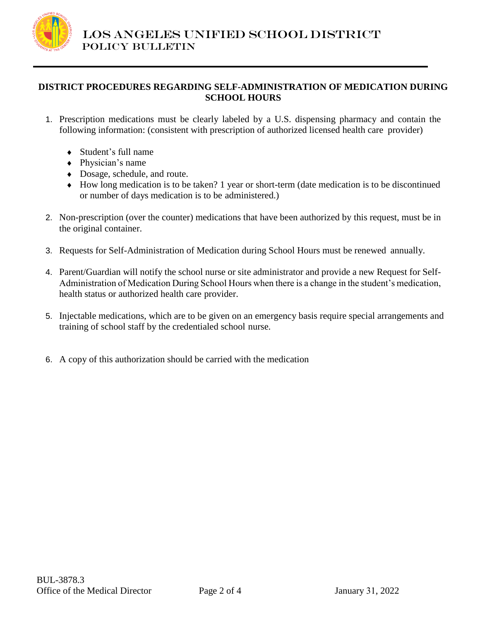

# **DISTRICT PROCEDURES REGARDING SELF-ADMINISTRATION OF MEDICATION DURING SCHOOL HOURS**

- 1. Prescription medications must be clearly labeled by a U.S. dispensing pharmacy and contain the following information: (consistent with prescription of authorized licensed health care provider)
	- Student's full name
	- Physician's name
	- Dosage, schedule, and route.
	- How long medication is to be taken? 1 year or short-term (date medication is to be discontinued or number of days medication is to be administered.)
- 2. Non-prescription (over the counter) medications that have been authorized by this request, must be in the original container.
- 3. Requests for Self-Administration of Medication during School Hours must be renewed annually.
- 4. Parent/Guardian will notify the school nurse or site administrator and provide a new Request for Self-Administration of Medication During School Hours when there is a change in the student's medication, health status or authorized health care provider.
- 5. Injectable medications, which are to be given on an emergency basis require special arrangements and training of school staff by the credentialed school nurse.
- 6. A copy of this authorization should be carried with the medication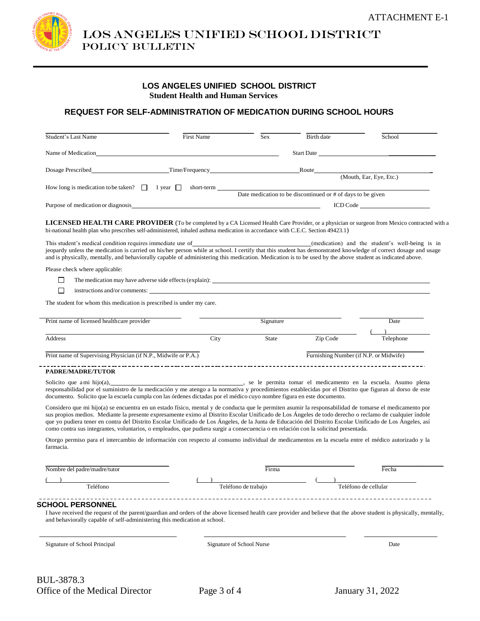LOS ANGELES UNIFIED SCHOOL DISTRICT Policy bulletin

### **LOS ANGELES UNIFIED SCHOOL DISTRICT Student Health and Human Services**

## **REQUEST FOR SELF-ADMINISTRATION OF MEDICATION DURING SCHOOL HOURS**

| Student's Last Name                                                                                                                                                                                                                                                             | <b>First Name</b> | Sex | Birth date                                                    | School                  |
|---------------------------------------------------------------------------------------------------------------------------------------------------------------------------------------------------------------------------------------------------------------------------------|-------------------|-----|---------------------------------------------------------------|-------------------------|
| Name of Medication                                                                                                                                                                                                                                                              |                   |     | Start Date <b>Start Date</b>                                  |                         |
| Dosage Prescribed                                                                                                                                                                                                                                                               | Time/Frequency    |     | Route                                                         |                         |
|                                                                                                                                                                                                                                                                                 |                   |     |                                                               | (Mouth, Ear, Eye, Etc.) |
| How long is medication to be taken? $\Box$ 1 year $\Box$                                                                                                                                                                                                                        | short-term        |     | Date medication to be discontinued or $#$ of days to be given |                         |
| Purpose of medication or diagnosis                                                                                                                                                                                                                                              |                   |     |                                                               |                         |
| LICENSED HEALTH CARE PROVIDER (To be completed by a CA Licensed Health Care Provider, or a physician or surgeon from Mexico contracted with a<br>bi-national health plan who prescribes self-administered, inhaled asthma medication in accordance with C.E.C. Section 49423.1) |                   |     |                                                               |                         |

This student's medical condition requires immediate use of *(medication)* and the student's well-being is in jeopardy unless the medication is carried on his/her person while at school. I certify that this student has demonstrated knowledge of correct dosage and usage and is physically, mentally, and behaviorally capable of administering this medication. Medication is to be used by the above student as indicated above.

Please check where applicable:

| $\Box$ | The medication may have adverse side effects (explain): |  |  |
|--------|---------------------------------------------------------|--|--|
|        |                                                         |  |  |

 $\Box$  instructions and/or comments:

The student for whom this medication is prescribed is under my care.

| Print name of licensed healthcare provider                     |      | Signature |                                        | Date      |
|----------------------------------------------------------------|------|-----------|----------------------------------------|-----------|
| Address                                                        | City | State     | Zip Code                               | Telephone |
| Print name of Supervising Physician (if N.P., Midwife or P.A.) |      |           | Furnishing Number (if N.P. or Midwife) |           |
| <b>PADREMADRE/THTOR</b>                                        |      |           |                                        |           |

**PADRE/MADRE/TUTOR**

Solicito que ami hijo(a),  $\qquad \qquad \qquad$  , se le permita tomar el medicamento en la escuela. Asumo plena responsabilidad por el suministro de la medicación y me atengo a la normativa y procedimientos establecidas por el Distrito que figuran al dorso de este documento. Solicito que la escuela cumpla con las órdenes dictadas por el médico cuyo nombre figura en este documento.

Considero que mi hijo(a) se encuentra en un estado físico, mental y de conducta que le permiten asumir la responsabilidad de tomarse el medicamento por sus propios medios. Mediante la presente expresamente eximo al Distrito Escolar Unificado de Los Ángeles de todo derecho o reclamo de cualquier índole que yo pudiera tener en contra del Distrito Escolar Unificado de Los Ángeles, de la Junta de Educación del Distrito Escolar Unificado de Los Ángeles, así como contra sus integrantes, voluntarios, o empleados, que pudiera surgir a consecuencia o en relación con la solicitud presentada.

Otorgo permiso para el intercambio de información con respecto al consumo individual de medicamentos en la escuela entre el médico autorizado y la farmacia.

| Nombre del padre/madre/tutor | Fecha                |
|------------------------------|----------------------|
| Teléfono                     | Teléfono de cellular |

#### **SCHOOL PERSONNEL**

I have received the request of the parent/guardian and orders of the above licensed health care provider and believe that the above student is physically, mentally, and behaviorally capable of self-administering this medication at school.

Signature of School Nurse Date